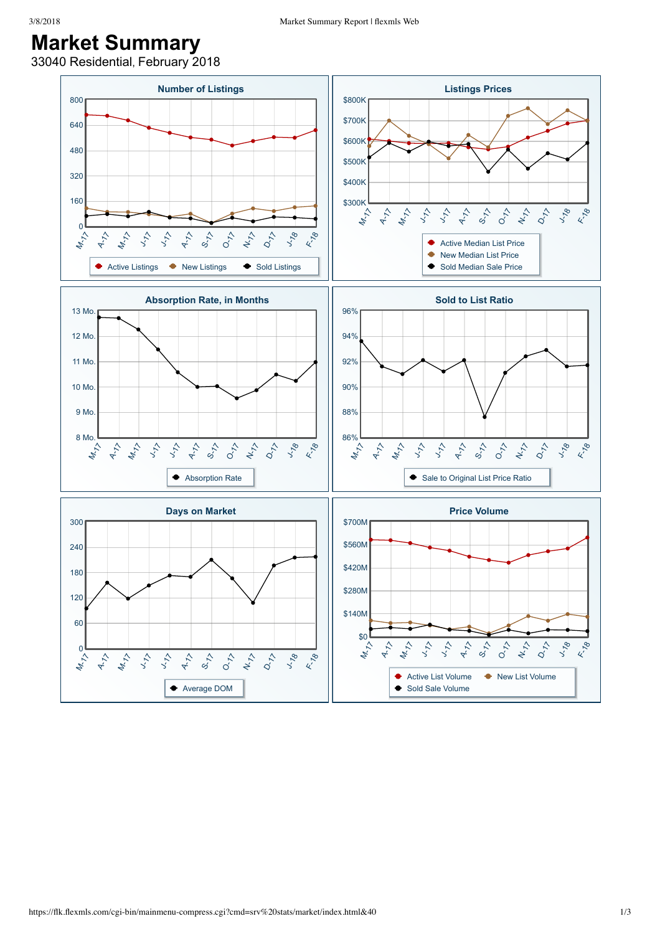## **Market Summary**

33040 Residential, February 2018

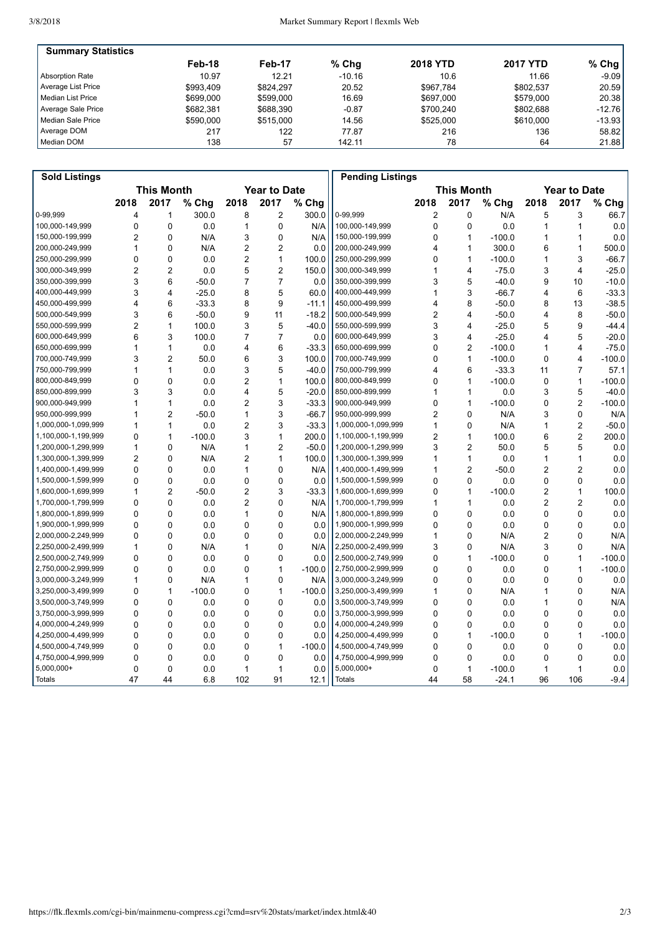| <b>Summary Statistics</b> |           |           |          |                 |                 |          |
|---------------------------|-----------|-----------|----------|-----------------|-----------------|----------|
|                           | Feb-18    | Feb-17    | $%$ Chg  | <b>2018 YTD</b> | <b>2017 YTD</b> | % Chg    |
| <b>Absorption Rate</b>    | 10.97     | 12.21     | $-10.16$ | 10.6            | 11.66           | $-9.09$  |
| Average List Price        | \$993.409 | \$824.297 | 20.52    | \$967.784       | \$802.537       | 20.59    |
| l Median List Price       | \$699,000 | \$599,000 | 16.69    | \$697.000       | \$579,000       | 20.38    |
| Average Sale Price        | \$682.381 | \$688,390 | $-0.87$  | \$700.240       | \$802.688       | $-12.76$ |
| Median Sale Price         | \$590,000 | \$515,000 | 14.56    | \$525,000       | \$610,000       | $-13.93$ |
| Average DOM               | 217       | 122       | 77.87    | 216             | 136             | 58.82    |
| Median DOM                | 138       | 57        | 142.11   | 78              | 64              | 21.88    |

| <b>Sold Listings</b> |                   |                |          |                     |                |          | <b>Pending Listings</b> |                |                   |          |                     |                |          |  |
|----------------------|-------------------|----------------|----------|---------------------|----------------|----------|-------------------------|----------------|-------------------|----------|---------------------|----------------|----------|--|
|                      | <b>This Month</b> |                |          | <b>Year to Date</b> |                |          |                         |                | <b>This Month</b> |          | <b>Year to Date</b> |                |          |  |
|                      | 2018              | 2017           | % Chg    | 2018                | 2017           | % Chg    |                         | 2018           | 2017              | % Chg    | 2018                | 2017           | % Chg    |  |
| 0-99.999             | 4                 | 1              | 300.0    | 8                   | $\overline{2}$ | 300.0    | 0-99.999                | 2              | 0                 | N/A      | 5                   | 3              | 66.7     |  |
| 100,000-149,999      | $\mathbf 0$       | $\mathbf 0$    | 0.0      | 1                   | $\mathbf 0$    | N/A      | 100,000-149,999         | 0              | 0                 | 0.0      | 1                   | $\mathbf{1}$   | 0.0      |  |
| 150,000-199,999      | $\overline{2}$    | $\Omega$       | N/A      | 3                   | 0              | N/A      | 150,000-199,999         | 0              | $\mathbf{1}$      | $-100.0$ | $\mathbf{1}$        | $\mathbf{1}$   | 0.0      |  |
| 200,000-249,999      | $\mathbf{1}$      | $\Omega$       | N/A      | $\overline{c}$      | $\overline{2}$ | 0.0      | 200,000-249,999         | 4              | 1                 | 300.0    | 6                   | $\mathbf{1}$   | 500.0    |  |
| 250,000-299,999      | $\mathbf 0$       | $\mathbf 0$    | 0.0      | 2                   | $\mathbf{1}$   | 100.0    | 250,000-299,999         | 0              | 1                 | $-100.0$ | 1                   | 3              | $-66.7$  |  |
| 300,000-349,999      | $\overline{2}$    | $\overline{2}$ | 0.0      | 5                   | $\overline{2}$ | 150.0    | 300,000-349,999         | 1              | 4                 | $-75.0$  | 3                   | 4              | $-25.0$  |  |
| 350.000-399.999      | 3                 | 6              | $-50.0$  | $\overline{7}$      | $\overline{7}$ | 0.0      | 350,000-399,999         | 3              | 5                 | $-40.0$  | 9                   | 10             | $-10.0$  |  |
| 400,000-449,999      | 3                 | 4              | $-25.0$  | 8                   | 5              | 60.0     | 400,000-449,999         | 1              | 3                 | $-66.7$  | 4                   | 6              | $-33.3$  |  |
| 450,000-499,999      | $\overline{4}$    | 6              | $-33.3$  | 8                   | 9              | $-11.1$  | 450,000-499,999         | 4              | 8                 | $-50.0$  | 8                   | 13             | $-38.5$  |  |
| 500.000-549.999      | 3                 | 6              | $-50.0$  | 9                   | 11             | $-18.2$  | 500.000-549.999         | $\overline{2}$ | 4                 | $-50.0$  | 4                   | 8              | $-50.0$  |  |
| 550,000-599,999      | $\overline{2}$    | 1              | 100.0    | 3                   | 5              | $-40.0$  | 550,000-599,999         | 3              | 4                 | $-25.0$  | 5                   | 9              | $-44.4$  |  |
| 600,000-649,999      | 6                 | 3              | 100.0    | $\overline{7}$      | $\overline{7}$ | 0.0      | 600,000-649,999         | 3              | 4                 | $-25.0$  | 4                   | 5              | $-20.0$  |  |
| 650,000-699,999      | 1                 | $\mathbf{1}$   | 0.0      | 4                   | 6              | $-33.3$  | 650,000-699,999         | 0              | 2                 | $-100.0$ | 1                   | 4              | $-75.0$  |  |
| 700,000-749,999      | 3                 | $\overline{2}$ | 50.0     | 6                   | 3              | 100.0    | 700,000-749,999         | 0              | $\mathbf{1}$      | $-100.0$ | $\mathbf 0$         | $\overline{4}$ | $-100.0$ |  |
| 750,000-799,999      | $\mathbf{1}$      | $\mathbf{1}$   | 0.0      | 3                   | 5              | $-40.0$  | 750,000-799,999         | 4              | 6                 | $-33.3$  | 11                  | $\overline{7}$ | 57.1     |  |
| 800,000-849,999      | $\mathbf 0$       | $\mathbf 0$    | 0.0      | $\overline{2}$      | 1              | 100.0    | 800,000-849,999         | 0              | $\mathbf{1}$      | $-100.0$ | 0                   | $\mathbf{1}$   | $-100.0$ |  |
| 850,000-899,999      | 3                 | 3              | 0.0      | 4                   | 5              | $-20.0$  | 850,000-899,999         | 1              | 1                 | 0.0      | 3                   | 5              | $-40.0$  |  |
| 900,000-949,999      | 1                 | $\mathbf{1}$   | 0.0      | $\overline{2}$      | 3              | $-33.3$  | 900,000-949,999         | 0              | 1                 | $-100.0$ | 0                   | $\overline{2}$ | $-100.0$ |  |
| 950,000-999,999      | 1                 | $\overline{2}$ | $-50.0$  | 1                   | 3              | $-66.7$  | 950,000-999,999         | 2              | 0                 | N/A      | 3                   | $\mathbf 0$    | N/A      |  |
| 1,000,000-1,099,999  | $\mathbf{1}$      | $\mathbf{1}$   | 0.0      | $\overline{2}$      | 3              | $-33.3$  | 1,000,000-1,099,999     | 1              | 0                 | N/A      | 1                   | $\overline{2}$ | $-50.0$  |  |
| 1,100,000-1,199,999  | $\mathbf{0}$      | $\mathbf{1}$   | $-100.0$ | 3                   | 1              | 200.0    | 1,100,000-1,199,999     | $\overline{c}$ | 1                 | 100.0    | 6                   | $\overline{2}$ | 200.0    |  |
| 1,200,000-1,299,999  | $\mathbf{1}$      | $\mathbf 0$    | N/A      | 1                   | $\overline{2}$ | $-50.0$  | 1,200,000-1,299,999     | 3              | $\overline{2}$    | 50.0     | 5                   | 5              | 0.0      |  |
| 1,300,000-1,399,999  | $\overline{2}$    | $\mathbf 0$    | N/A      | $\overline{2}$      | $\mathbf{1}$   | 100.0    | 1,300,000-1,399,999     | 1              | 1                 | 0.0      | 1                   | $\mathbf{1}$   | 0.0      |  |
| 1,400,000-1,499,999  | $\Omega$          | $\Omega$       | 0.0      | 1                   | $\Omega$       | N/A      | 1,400,000-1,499,999     | 1              | $\overline{2}$    | $-50.0$  | 2                   | $\overline{2}$ | 0.0      |  |
| 1,500,000-1,599,999  | $\mathbf{0}$      | $\mathbf 0$    | 0.0      | 0                   | $\Omega$       | 0.0      | 1,500,000-1,599,999     | 0              | 0                 | 0.0      | 0                   | $\mathbf 0$    | 0.0      |  |
| 1,600,000-1,699,999  | 1                 | $\overline{c}$ | $-50.0$  | $\overline{2}$      | 3              | $-33.3$  | 1,600,000-1,699,999     | 0              | 1                 | $-100.0$ | $\overline{c}$      | $\mathbf{1}$   | 100.0    |  |
| 1,700,000-1,799,999  | $\Omega$          | $\Omega$       | 0.0      | $\overline{2}$      | $\Omega$       | N/A      | 1,700,000-1,799,999     | 1              | 1                 | 0.0      | 2                   | $\overline{2}$ | 0.0      |  |
| 1,800,000-1,899,999  | $\mathbf 0$       | $\mathbf 0$    | 0.0      | 1                   | $\mathbf 0$    | N/A      | 1,800,000-1,899,999     | 0              | $\mathbf 0$       | 0.0      | $\mathbf 0$         | $\mathbf 0$    | 0.0      |  |
| 1,900,000-1,999,999  | $\mathbf{0}$      | $\Omega$       | 0.0      | 0                   | $\mathbf{0}$   | 0.0      | 1,900,000-1,999,999     | 0              | 0                 | 0.0      | $\mathbf 0$         | $\Omega$       | 0.0      |  |
| 2,000,000-2,249,999  | $\Omega$          | $\Omega$       | 0.0      | 0                   | $\Omega$       | 0.0      | 2,000,000-2,249,999     | 1              | 0                 | N/A      | 2                   | $\Omega$       | N/A      |  |
| 2,250,000-2,499,999  | 1                 | $\mathbf 0$    | N/A      | 1                   | $\mathbf 0$    | N/A      | 2,250,000-2,499,999     | 3              | 0                 | N/A      | 3                   | $\mathbf 0$    | N/A      |  |
| 2,500,000-2,749,999  | $\Omega$          | $\Omega$       | 0.0      | 0                   | $\mathbf{0}$   | 0.0      | 2,500,000-2,749,999     | 0              | $\mathbf{1}$      | $-100.0$ | 0                   | 1              | $-100.0$ |  |
| 2,750,000-2,999,999  | $\Omega$          | $\mathbf 0$    | 0.0      | 0                   | $\mathbf{1}$   | $-100.0$ | 2,750,000-2,999,999     | 0              | 0                 | 0.0      | 0                   | $\mathbf{1}$   | $-100.0$ |  |
| 3,000,000-3,249,999  | $\mathbf{1}$      | $\mathbf 0$    | N/A      | 1                   | $\mathbf 0$    | N/A      | 3,000,000-3,249,999     | 0              | 0                 | 0.0      | 0                   | $\mathbf 0$    | 0.0      |  |
| 3,250,000-3,499,999  | $\mathbf 0$       | $\mathbf{1}$   | $-100.0$ | 0                   | $\mathbf{1}$   | $-100.0$ | 3,250,000-3,499,999     | 1              | 0                 | N/A      | 1                   | $\mathbf 0$    | N/A      |  |
| 3,500,000-3,749,999  | $\Omega$          | $\Omega$       | 0.0      | $\Omega$            | $\Omega$       | 0.0      | 3,500,000-3,749,999     | 0              | 0                 | 0.0      | 1                   | $\Omega$       | N/A      |  |
| 3,750,000-3,999,999  | $\Omega$          | $\mathbf 0$    | 0.0      | 0                   | $\mathbf 0$    | 0.0      | 3,750,000-3,999,999     | 0              | 0                 | 0.0      | 0                   | $\Omega$       | 0.0      |  |
| 4,000,000-4,249,999  | $\mathbf{0}$      | $\Omega$       | 0.0      | $\mathbf{0}$        | $\Omega$       | 0.0      | 4,000,000-4,249,999     | 0              | 0                 | 0.0      | 0                   | $\Omega$       | 0.0      |  |
| 4,250,000-4,499,999  | $\mathbf 0$       | $\mathbf 0$    | 0.0      | 0                   | 0              | 0.0      | 4,250,000-4,499,999     | 0              | 1                 | $-100.0$ | 0                   | $\mathbf{1}$   | $-100.0$ |  |
| 4,500,000-4,749,999  | $\mathbf 0$       | $\mathbf 0$    | 0.0      | 0                   | $\mathbf{1}$   | $-100.0$ | 4,500,000-4,749,999     | 0              | $\mathbf 0$       | 0.0      | $\mathbf 0$         | $\mathbf 0$    | 0.0      |  |
| 4,750,000-4,999,999  | $\mathbf{0}$      | $\Omega$       | 0.0      | $\mathbf{0}$        | $\mathbf{0}$   | 0.0      | 4,750,000-4,999,999     | 0              | $\Omega$          | 0.0      | 0                   | $\Omega$       | 0.0      |  |
| 5,000,000+           | $\mathbf 0$       | 0              | 0.0      | 1                   | $\mathbf{1}$   | 0.0      | 5,000,000+              | 0              | 1                 | $-100.0$ | 1                   | $\mathbf{1}$   | 0.0      |  |
| <b>Totals</b>        | 47                | 44             | 6.8      | 102                 | 91             | 12.1     | <b>Totals</b>           | 44             | 58                | $-24.1$  | 96                  | 106            | $-9.4$   |  |